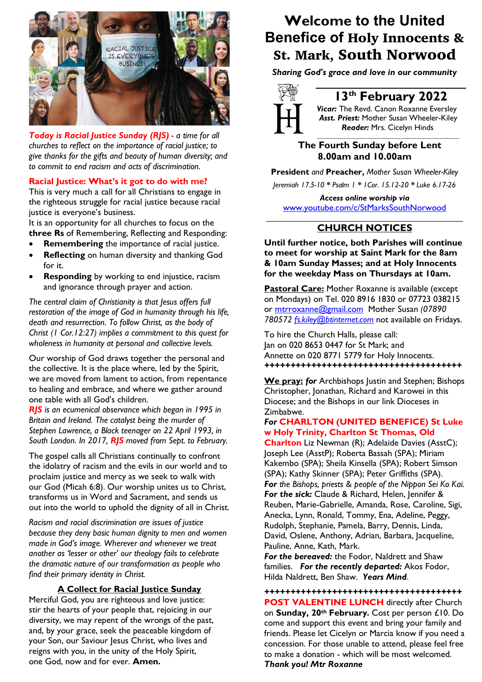

*Today is Racial Justice Sunday (RJS) - a time for all churches to reflect on the importance of racial justice; to give thanks for the gifts and beauty of human diversity; and to commit to end racism and acts of discrimination.*

### **Racial Justice: What's it got to do with me?**

This is very much a call for all Christians to engage in the righteous struggle for racial justice because racial justice is everyone's business.

It is an opportunity for all churches to focus on the **three Rs** of Remembering, Reflecting and Responding:

- **Remembering** the importance of racial justice.
- **Reflecting** on human diversity and thanking God for it.
- **Responding** by working to end injustice, racism and ignorance through prayer and action.

*The central claim of Christianity is that Jesus offers full restoration of the image of God in humanity through his life, death and resurrection. To follow Christ, as the body of Christ (1 Cor.12:27) implies a commitment to this quest for wholeness in humanity at personal and collective levels.*

Our worship of God draws together the personal and the collective. It is the place where, led by the Spirit, we are moved from lament to action, from repentance to healing and embrace, and where we gather around one table with all God's children.

*RJS is an ecumenical observance which began in 1995 in Britain and Ireland. The catalyst being the murder of Stephen Lawrence, a Black teenager on 22 April 1993, in South London. In 2017, RJS moved from Sept. to February.*

The gospel calls all Christians continually to confront the idolatry of racism and the evils in our world and to proclaim justice and mercy as we seek to walk with our God (Micah 6:8). Our worship unites us to Christ, transforms us in Word and Sacrament, and sends us out into the world to uphold the dignity of all in Christ.

*Racism and racial discrimination are issues of justice because they deny basic human dignity to men and women made in God's image. Wherever and whenever we treat another as 'lesser or other' our theology fails to celebrate the dramatic nature of our transformation as people who find their primary identity in Christ.*

### **A Collect for Racial Justice Sunday**

Merciful God, you are righteous and love justice: stir the hearts of your people that, rejoicing in our diversity, we may repent of the wrongs of the past, and, by your grace, seek the peaceable kingdom of your Son, our Saviour Jesus Christ, who lives and reigns with you, in the unity of the Holy Spirit, one God, now and for ever. **Amen.**

## **Welcome to the United Benefice of** Holy Innocents & St. Mark, South Norwood

*Sharing God's grace and love in our community*



### **13th February 2022**

*Vicar:* The Revd. Canon Roxanne Eversley *Asst. Priest:* Mother Susan Wheeler-Kiley  *Reader:* Mrs. Cicelyn Hinds *\_\_\_\_\_\_\_\_\_\_\_\_\_\_\_\_\_\_\_\_\_\_\_\_\_\_\_\_\_\_\_\_\_\_\_\_\_\_\_\_\_\_\_\_*

### **The Fourth Sunday before Lent 8.00am and 10.00am**

**President** *and* **Preacher,** *Mother Susan Wheeler-Kiley Jeremiah 17.5-10 \* Psalm 1 \* 1Cor. 15.12-20 \* Luke 6.17-26*

*Access online worship via* www.youtube.com/c/StMarksSouthNorwood \_\_\_\_\_\_\_\_\_\_\_\_\_\_\_\_\_\_\_\_\_\_\_\_\_\_\_\_\_\_\_\_\_\_\_\_\_\_\_\_\_\_\_\_

### **CHURCH NOTICES**

**Until further notice, both Parishes will continue to meet for worship at Saint Mark for the 8am & 10am Sunday Masses; and at Holy Innocents for the weekday Mass on Thursdays at 10am.**

**Pastoral Care:** Mother Roxanne is available (except on Mondays) on Tel. 020 8916 1830 or 07723 038215 or mtrroxanne@gmail.com Mother Susan *(07890 780572 fs.kiley@btinternet.com* not available on Fridays.

To hire the Church Halls, please call: Jan on 020 8653 0447 for St Mark; and Annette on 020 8771 5779 for Holy Innocents. *++++++++++++++++++++++++++++++++++++++*

**We pray:** *for* Archbishops Justin and Stephen; Bishops Christopher, Jonathan, Richard and Karowei in this Diocese; and the Bishops in our link Dioceses in Zimbabwe.

### *For* **CHARLTON (UNITED BENEFICE) St Luke w Holy Trinity, Charlton St Thomas, Old**

**Charlton** Liz Newman (R); Adelaide Davies (AsstC); Joseph Lee (AsstP); Roberta Bassah (SPA); Miriam Kakembo (SPA); Sheila Kinsella (SPA); Robert Simson (SPA); Kathy Skinner (SPA); Peter Griffiths (SPA). *For the Bishops, priests & people of the Nippon Sei Ko Kai. For the sick:* Claude & Richard, Helen, Jennifer & Reuben, Marie-Gabrielle, Amanda, Rose, Caroline, Sigi, Anecka, Lynn, Ronald, Tommy, Ena, Adeline, Peggy, Rudolph, Stephanie, Pamela, Barry, Dennis, Linda, David, Oslene, Anthony, Adrian, Barbara, Jacqueline, Pauline, Anne, Kath, Mark.

*For the bereaved:* the Fodor, Naldrett and Shaw families. *For the recently departed:* Akos Fodor, Hilda Naldrett, Ben Shaw. *Years Mind*.

*++++++++++++++++++++++++++++++++++++++* **POST VALENTINE LUNCH** directly after Church on **Sunday, 20th February.** Cost per person £10. Do come and support this event and bring your family and friends. Please let Cicelyn or Marcia know if you need a concession. For those unable to attend, please feel free to make a donation - which will be most welcomed. *Thank you! Mtr Roxanne*